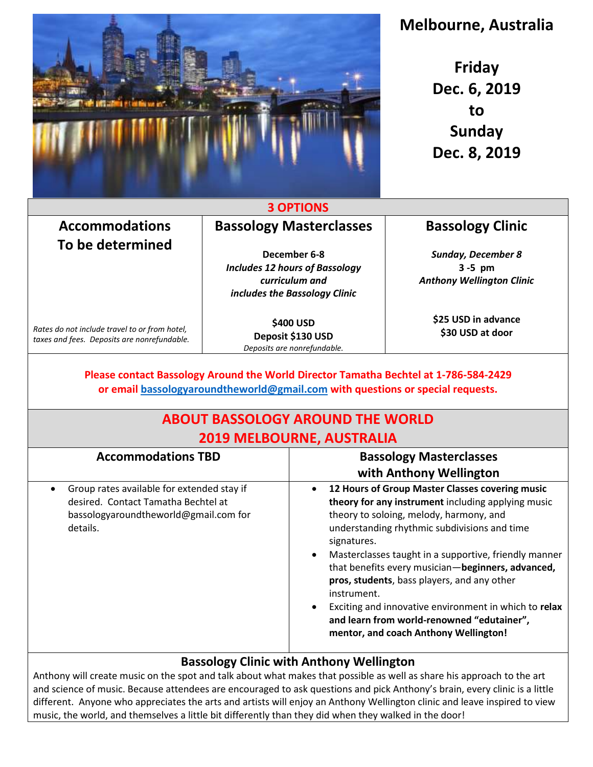

# **Melbourne, Australia**

**Friday Dec. 6, 2019 to Sunday Dec. 8, 2019**

#### **3 OPTIONS**

#### **Accommodations To be determined Bassology Masterclasses**

**December 6-8** *Includes 12 hours of Bassology curriculum and includes the Bassology Clinic*

*Rates do not include travel to or from hotel, taxes and fees. Deposits are nonrefundable.*

**\$400 USD Deposit \$130 USD** *Deposits are nonrefundable.*

### **Bassology Clinic**

*Sunday, December 8* **3 -5 pm** *Anthony Wellington Clinic* 

> **\$25 USD in advance \$30 USD at door**

#### **Please contact Bassology Around the World Director Tamatha Bechtel at 1-786-584-2429 or email [bassologyaroundtheworld@gmail.com](mailto:bassologyaroundtheworld@gmail.com) with questions or special requests.**

## **ABOUT BASSOLOGY AROUND THE WORLD 2019 MELBOURNE, AUSTRALIA**

| <b>Accommodations TBD</b>                                                                                                                           | <b>Bassology Masterclasses</b><br>with Anthony Wellington                                                                                                                                                                                                                                                                                                                                                                                                                                                                                   |
|-----------------------------------------------------------------------------------------------------------------------------------------------------|---------------------------------------------------------------------------------------------------------------------------------------------------------------------------------------------------------------------------------------------------------------------------------------------------------------------------------------------------------------------------------------------------------------------------------------------------------------------------------------------------------------------------------------------|
| Group rates available for extended stay if<br>$\bullet$<br>desired. Contact Tamatha Bechtel at<br>bassologyaroundtheworld@gmail.com for<br>details. | 12 Hours of Group Master Classes covering music<br>theory for any instrument including applying music<br>theory to soloing, melody, harmony, and<br>understanding rhythmic subdivisions and time<br>signatures.<br>Masterclasses taught in a supportive, friendly manner<br>that benefits every musician-beginners, advanced,<br>pros, students, bass players, and any other<br>instrument.<br>Exciting and innovative environment in which to relax<br>and learn from world-renowned "edutainer",<br>mentor, and coach Anthony Wellington! |

### **Bassology Clinic with Anthony Wellington**

Anthony will create music on the spot and talk about what makes that possible as well as share his approach to the art and science of music. Because attendees are encouraged to ask questions and pick Anthony's brain, every clinic is a little different. Anyone who appreciates the arts and artists will enjoy an Anthony Wellington clinic and leave inspired to view music, the world, and themselves a little bit differently than they did when they walked in the door!